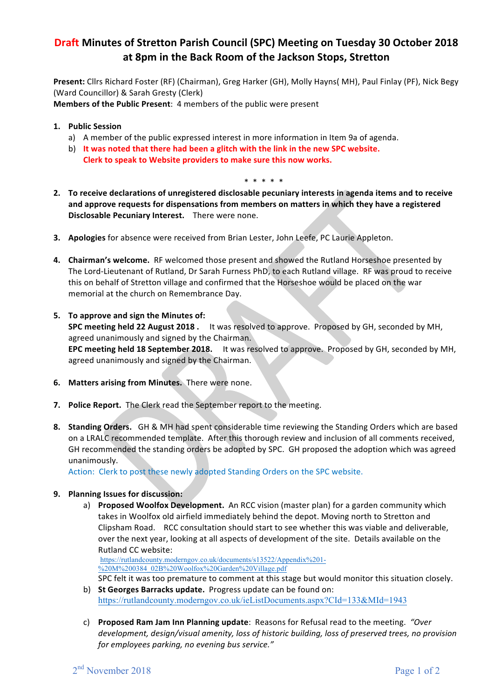# **Draft Minutes of Stretton Parish Council (SPC) Meeting on Tuesday 30 October 2018 at 8pm in the Back Room of the Jackson Stops, Stretton**

Present: Cllrs Richard Foster (RF) (Chairman), Greg Harker (GH), Molly Hayns( MH), Paul Finlay (PF), Nick Begy (Ward Councillor) & Sarah Gresty (Clerk)

**Members of the Public Present:** 4 members of the public were present

- **1. Public Session**
	- a) A member of the public expressed interest in more information in Item 9a of agenda.
	- b) It was noted that there had been a glitch with the link in the new SPC website. **Clerk to speak to Website providers to make sure this now works.** 
		- \* \* \* \* \*
- **2.** To receive declarations of unregistered disclosable pecuniary interests in agenda items and to receive and approve requests for dispensations from members on matters in which they have a registered **Disclosable Pecuniary Interest.** There were none.
- **3.** Apologies for absence were received from Brian Lester, John Leefe, PC Laurie Appleton.
- **4. Chairman's welcome.** RF welcomed those present and showed the Rutland Horseshoe presented by The Lord-Lieutenant of Rutland, Dr Sarah Furness PhD, to each Rutland village. RF was proud to receive this on behalf of Stretton village and confirmed that the Horseshoe would be placed on the war memorial at the church on Remembrance Day.
- **5. To approve and sign the Minutes of: SPC meeting held 22 August 2018** . It was resolved to approve. Proposed by GH, seconded by MH, agreed unanimously and signed by the Chairman. **EPC meeting held 18 September 2018.** It was resolved to approve. Proposed by GH, seconded by MH, agreed unanimously and signed by the Chairman.
- **6.** Matters arising from Minutes. There were none.
- **7. Police Report.** The Clerk read the September report to the meeting.
- **8. Standing Orders.** GH & MH had spent considerable time reviewing the Standing Orders which are based on a LRALC recommended template. After this thorough review and inclusion of all comments received, GH recommended the standing orders be adopted by SPC. GH proposed the adoption which was agreed unanimously.

Action: Clerk to post these newly adopted Standing Orders on the SPC website.

## **9. Planning Issues for discussion:**

a) **Proposed Woolfox Development.** An RCC vision (master plan) for a garden community which takes in Woolfox old airfield immediately behind the depot. Moving north to Stretton and Clipsham Road. RCC consultation should start to see whether this was viable and deliverable, over the next year, looking at all aspects of development of the site. Details available on the Rutland CC website:

https://rutlandcounty.moderngov.co.uk/documents/s13522/Appendix%201- %20M%200384\_02B%20Woolfox%20Garden%20Village.pdf

SPC felt it was too premature to comment at this stage but would monitor this situation closely.

- b) **St Georges Barracks update.** Progress update can be found on: https://rutlandcounty.moderngov.co.uk/ieListDocuments.aspx?CId=133&MId=1943
- c) **Proposed Ram Jam Inn Planning update**: Reasons for Refusal read to the meeting. "Over development, design/visual amenity, loss of historic building, loss of preserved trees, no provision *for employees parking, no evening bus service."*